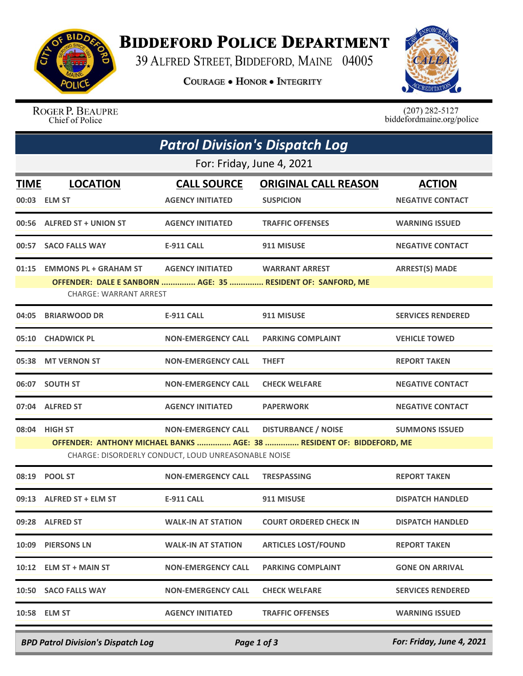

## **BIDDEFORD POLICE DEPARTMENT**

39 ALFRED STREET, BIDDEFORD, MAINE 04005

**COURAGE . HONOR . INTEGRITY** 



ROGER P. BEAUPRE Chief of Police

 $(207)$  282-5127<br>biddefordmaine.org/police

| <b>Patrol Division's Dispatch Log</b>                                                                                       |                                                               |                                               |                                                                                      |                                          |  |  |  |
|-----------------------------------------------------------------------------------------------------------------------------|---------------------------------------------------------------|-----------------------------------------------|--------------------------------------------------------------------------------------|------------------------------------------|--|--|--|
| For: Friday, June 4, 2021                                                                                                   |                                                               |                                               |                                                                                      |                                          |  |  |  |
| <u>TIME</u>                                                                                                                 | <b>LOCATION</b><br>00:03 ELM ST                               | <b>CALL SOURCE</b><br><b>AGENCY INITIATED</b> | <b>ORIGINAL CALL REASON</b><br><b>SUSPICION</b>                                      | <b>ACTION</b><br><b>NEGATIVE CONTACT</b> |  |  |  |
|                                                                                                                             | 00:56 ALFRED ST + UNION ST                                    | <b>AGENCY INITIATED</b>                       | <b>TRAFFIC OFFENSES</b>                                                              | <b>WARNING ISSUED</b>                    |  |  |  |
| 00:57                                                                                                                       | <b>SACO FALLS WAY</b>                                         | <b>E-911 CALL</b>                             | 911 MISUSE                                                                           | <b>NEGATIVE CONTACT</b>                  |  |  |  |
| 01:15                                                                                                                       | <b>EMMONS PL + GRAHAM ST</b><br><b>CHARGE: WARRANT ARREST</b> | <b>AGENCY INITIATED</b>                       | <b>WARRANT ARREST</b><br>OFFENDER: DALE E SANBORN  AGE: 35  RESIDENT OF: SANFORD, ME | <b>ARREST(S) MADE</b>                    |  |  |  |
| 04:05                                                                                                                       | <b>BRIARWOOD DR</b>                                           | <b>E-911 CALL</b>                             | 911 MISUSE                                                                           | <b>SERVICES RENDERED</b>                 |  |  |  |
|                                                                                                                             | 05:10 CHADWICK PL                                             | <b>NON-EMERGENCY CALL</b>                     | <b>PARKING COMPLAINT</b>                                                             | <b>VEHICLE TOWED</b>                     |  |  |  |
|                                                                                                                             | 05:38 MT VERNON ST                                            | <b>NON-EMERGENCY CALL</b>                     | <b>THEFT</b>                                                                         | <b>REPORT TAKEN</b>                      |  |  |  |
|                                                                                                                             | 06:07 SOUTH ST                                                | <b>NON-EMERGENCY CALL</b>                     | <b>CHECK WELFARE</b>                                                                 | <b>NEGATIVE CONTACT</b>                  |  |  |  |
|                                                                                                                             | 07:04 ALFRED ST                                               | <b>AGENCY INITIATED</b>                       | <b>PAPERWORK</b>                                                                     | <b>NEGATIVE CONTACT</b>                  |  |  |  |
| 08:04                                                                                                                       | <b>HIGH ST</b>                                                | <b>NON-EMERGENCY CALL</b>                     | <b>DISTURBANCE / NOISE</b>                                                           | <b>SUMMONS ISSUED</b>                    |  |  |  |
| OFFENDER: ANTHONY MICHAEL BANKS  AGE: 38  RESIDENT OF: BIDDEFORD, ME<br>CHARGE: DISORDERLY CONDUCT, LOUD UNREASONABLE NOISE |                                                               |                                               |                                                                                      |                                          |  |  |  |
|                                                                                                                             | 08:19 POOL ST                                                 | <b>NON-EMERGENCY CALL</b>                     | <b>TRESPASSING</b>                                                                   | <b>REPORT TAKEN</b>                      |  |  |  |
|                                                                                                                             | 09:13 ALFRED ST + ELM ST                                      | <b>E-911 CALL</b>                             | 911 MISUSE                                                                           | <b>DISPATCH HANDLED</b>                  |  |  |  |
|                                                                                                                             | 09:28 ALFRED ST                                               | <b>WALK-IN AT STATION</b>                     | <b>COURT ORDERED CHECK IN</b>                                                        | <b>DISPATCH HANDLED</b>                  |  |  |  |
|                                                                                                                             | 10:09 PIERSONS LN                                             | <b>WALK-IN AT STATION</b>                     | <b>ARTICLES LOST/FOUND</b>                                                           | <b>REPORT TAKEN</b>                      |  |  |  |
|                                                                                                                             | $10:12$ ELM ST + MAIN ST                                      | <b>NON-EMERGENCY CALL</b>                     | <b>PARKING COMPLAINT</b>                                                             | <b>GONE ON ARRIVAL</b>                   |  |  |  |
|                                                                                                                             | 10:50 SACO FALLS WAY                                          | <b>NON-EMERGENCY CALL</b>                     | <b>CHECK WELFARE</b>                                                                 | <b>SERVICES RENDERED</b>                 |  |  |  |
|                                                                                                                             | 10:58 ELM ST                                                  | <b>AGENCY INITIATED</b>                       | <b>TRAFFIC OFFENSES</b>                                                              | <b>WARNING ISSUED</b>                    |  |  |  |
|                                                                                                                             |                                                               |                                               |                                                                                      |                                          |  |  |  |

*BPD Patrol Division's Dispatch Log Page 1 of 3 For: Friday, June 4, 2021*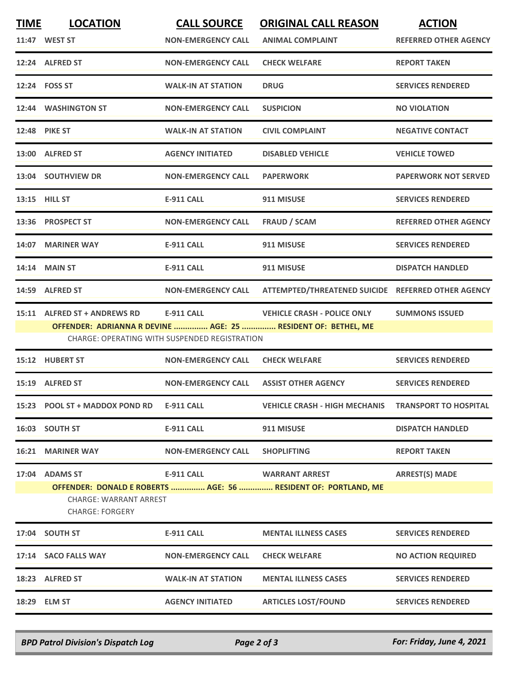| <b>TIME</b> | <b>LOCATION</b>                                         | <b>CALL SOURCE</b>                                   | <b>ORIGINAL CALL REASON</b>                                    | <b>ACTION</b>                |
|-------------|---------------------------------------------------------|------------------------------------------------------|----------------------------------------------------------------|------------------------------|
|             | 11:47 WEST ST                                           | <b>NON-EMERGENCY CALL</b>                            | <b>ANIMAL COMPLAINT</b>                                        | <b>REFERRED OTHER AGENCY</b> |
|             | 12:24 ALFRED ST                                         | <b>NON-EMERGENCY CALL</b>                            | <b>CHECK WELFARE</b>                                           | <b>REPORT TAKEN</b>          |
|             | 12:24 FOSS ST                                           | <b>WALK-IN AT STATION</b>                            | <b>DRUG</b>                                                    | <b>SERVICES RENDERED</b>     |
|             | 12:44 WASHINGTON ST                                     | <b>NON-EMERGENCY CALL</b>                            | <b>SUSPICION</b>                                               | <b>NO VIOLATION</b>          |
|             | <b>12:48 PIKE ST</b>                                    | <b>WALK-IN AT STATION</b>                            | <b>CIVIL COMPLAINT</b>                                         | <b>NEGATIVE CONTACT</b>      |
|             | 13:00 ALFRED ST                                         | <b>AGENCY INITIATED</b>                              | <b>DISABLED VEHICLE</b>                                        | <b>VEHICLE TOWED</b>         |
|             | 13:04 SOUTHVIEW DR                                      | <b>NON-EMERGENCY CALL</b>                            | <b>PAPERWORK</b>                                               | <b>PAPERWORK NOT SERVED</b>  |
|             | 13:15 HILL ST                                           | <b>E-911 CALL</b>                                    | 911 MISUSE                                                     | <b>SERVICES RENDERED</b>     |
|             | 13:36 PROSPECT ST                                       | <b>NON-EMERGENCY CALL</b>                            | <b>FRAUD / SCAM</b>                                            | <b>REFERRED OTHER AGENCY</b> |
|             | 14:07 MARINER WAY                                       | <b>E-911 CALL</b>                                    | 911 MISUSE                                                     | <b>SERVICES RENDERED</b>     |
|             | 14:14 MAIN ST                                           | <b>E-911 CALL</b>                                    | 911 MISUSE                                                     | <b>DISPATCH HANDLED</b>      |
|             | 14:59 ALFRED ST                                         | <b>NON-EMERGENCY CALL</b>                            | ATTEMPTED/THREATENED SUICIDE REFERRED OTHER AGENCY             |                              |
| 15:11       | <b>ALFRED ST + ANDREWS RD</b>                           | <b>E-911 CALL</b>                                    | <b>VEHICLE CRASH - POLICE ONLY</b>                             | <b>SUMMONS ISSUED</b>        |
|             |                                                         |                                                      | OFFENDER: ADRIANNA R DEVINE  AGE: 25  RESIDENT OF: BETHEL, ME  |                              |
|             |                                                         | <b>CHARGE: OPERATING WITH SUSPENDED REGISTRATION</b> |                                                                |                              |
|             | 15:12 HUBERT ST                                         | <b>NON-EMERGENCY CALL</b>                            | <b>CHECK WELFARE</b>                                           | <b>SERVICES RENDERED</b>     |
|             | 15:19 ALFRED ST                                         | <b>NON-EMERGENCY CALL</b>                            | <b>ASSIST OTHER AGENCY</b>                                     | <b>SERVICES RENDERED</b>     |
|             | 15:23 POOL ST + MADDOX POND RD                          | <b>E-911 CALL</b>                                    | <b>VEHICLE CRASH - HIGH MECHANIS</b>                           | <b>TRANSPORT TO HOSPITAL</b> |
|             | 16:03 SOUTH ST                                          | <b>E-911 CALL</b>                                    | 911 MISUSE                                                     | <b>DISPATCH HANDLED</b>      |
|             | <b>16:21 MARINER WAY</b>                                | <b>NON-EMERGENCY CALL</b>                            | <b>SHOPLIFTING</b>                                             | <b>REPORT TAKEN</b>          |
|             | 17:04 ADAMS ST                                          | E-911 CALL                                           | <b>WARRANT ARREST</b>                                          | <b>ARREST(S) MADE</b>        |
|             |                                                         |                                                      | OFFENDER: DONALD E ROBERTS  AGE: 56  RESIDENT OF: PORTLAND, ME |                              |
|             | <b>CHARGE: WARRANT ARREST</b><br><b>CHARGE: FORGERY</b> |                                                      |                                                                |                              |
|             | 17:04 SOUTH ST                                          | <b>E-911 CALL</b>                                    | <b>MENTAL ILLNESS CASES</b>                                    | <b>SERVICES RENDERED</b>     |
|             | 17:14 SACO FALLS WAY                                    | <b>NON-EMERGENCY CALL</b>                            | <b>CHECK WELFARE</b>                                           | <b>NO ACTION REQUIRED</b>    |
|             | 18:23 ALFRED ST                                         | <b>WALK-IN AT STATION</b>                            | <b>MENTAL ILLNESS CASES</b>                                    | <b>SERVICES RENDERED</b>     |
|             | 18:29 ELM ST                                            | <b>AGENCY INITIATED</b>                              | <b>ARTICLES LOST/FOUND</b>                                     | <b>SERVICES RENDERED</b>     |
|             |                                                         |                                                      |                                                                |                              |

*BPD Patrol Division's Dispatch Log Page 2 of 3 For: Friday, June 4, 2021*